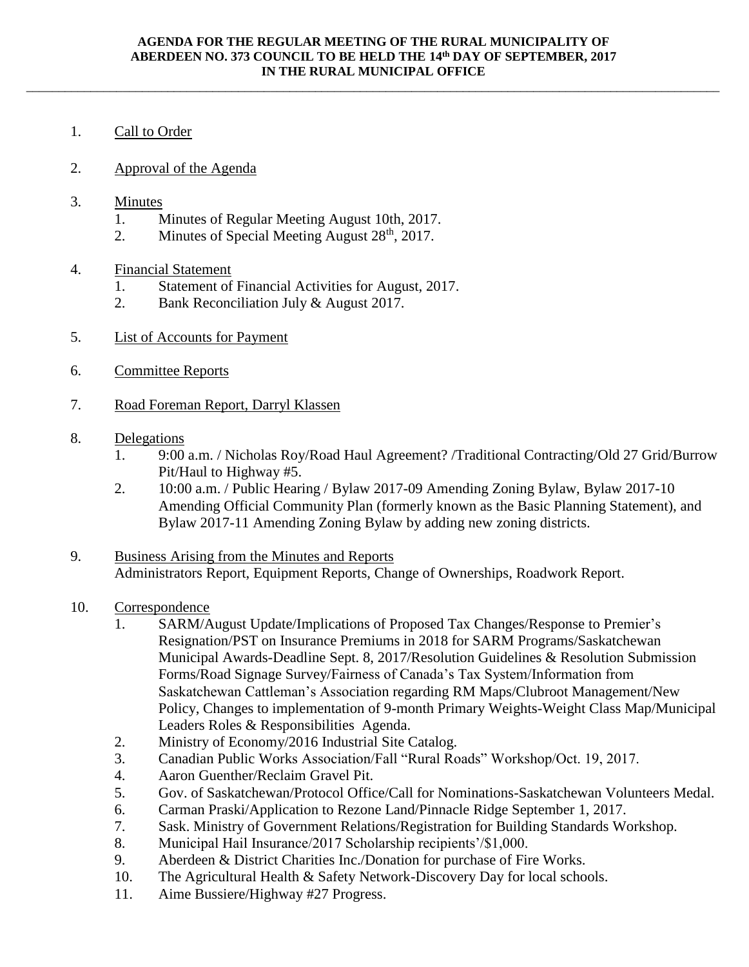\_\_\_\_\_\_\_\_\_\_\_\_\_\_\_\_\_\_\_\_\_\_\_\_\_\_\_\_\_\_\_\_\_\_\_\_\_\_\_\_\_\_\_\_\_\_\_\_\_\_\_\_\_\_\_\_\_\_\_\_\_\_\_\_\_\_\_\_\_\_\_\_\_\_\_\_\_\_\_\_\_\_\_\_\_\_\_\_\_\_\_\_\_\_\_\_\_\_\_\_\_\_\_\_\_\_\_\_

- 1. Call to Order
- 2. Approval of the Agenda
- 3. Minutes
	- 1. Minutes of Regular Meeting August 10th, 2017.
	- 2. Minutes of Special Meeting August  $28<sup>th</sup>$ , 2017.
- 4. Financial Statement
	- 1. Statement of Financial Activities for August, 2017.
	- 2. Bank Reconciliation July & August 2017.
- 5. List of Accounts for Payment
- 6. Committee Reports
- 7. Road Foreman Report, Darryl Klassen
- 8. Delegations
	- 1. 9:00 a.m. / Nicholas Roy/Road Haul Agreement? /Traditional Contracting/Old 27 Grid/Burrow Pit/Haul to Highway #5.
	- 2. 10:00 a.m. / Public Hearing / Bylaw 2017-09 Amending Zoning Bylaw, Bylaw 2017-10 Amending Official Community Plan (formerly known as the Basic Planning Statement), and Bylaw 2017-11 Amending Zoning Bylaw by adding new zoning districts.
- 9. Business Arising from the Minutes and Reports Administrators Report, Equipment Reports, Change of Ownerships, Roadwork Report.
- 10. Correspondence
	- 1. SARM/August Update/Implications of Proposed Tax Changes/Response to Premier's Resignation/PST on Insurance Premiums in 2018 for SARM Programs/Saskatchewan Municipal Awards-Deadline Sept. 8, 2017/Resolution Guidelines & Resolution Submission Forms/Road Signage Survey/Fairness of Canada's Tax System/Information from Saskatchewan Cattleman's Association regarding RM Maps/Clubroot Management/New Policy, Changes to implementation of 9-month Primary Weights-Weight Class Map/Municipal Leaders Roles & Responsibilities Agenda.
	- 2. Ministry of Economy/2016 Industrial Site Catalog.
	- 3. Canadian Public Works Association/Fall "Rural Roads" Workshop/Oct. 19, 2017.
	- 4. Aaron Guenther/Reclaim Gravel Pit.
	- 5. Gov. of Saskatchewan/Protocol Office/Call for Nominations-Saskatchewan Volunteers Medal.
	- 6. Carman Praski/Application to Rezone Land/Pinnacle Ridge September 1, 2017.
	- 7. Sask. Ministry of Government Relations/Registration for Building Standards Workshop.
	- 8. Municipal Hail Insurance/2017 Scholarship recipients'/\$1,000.
	- 9. Aberdeen & District Charities Inc./Donation for purchase of Fire Works.
	- 10. The Agricultural Health & Safety Network-Discovery Day for local schools.
	- 11. Aime Bussiere/Highway #27 Progress.